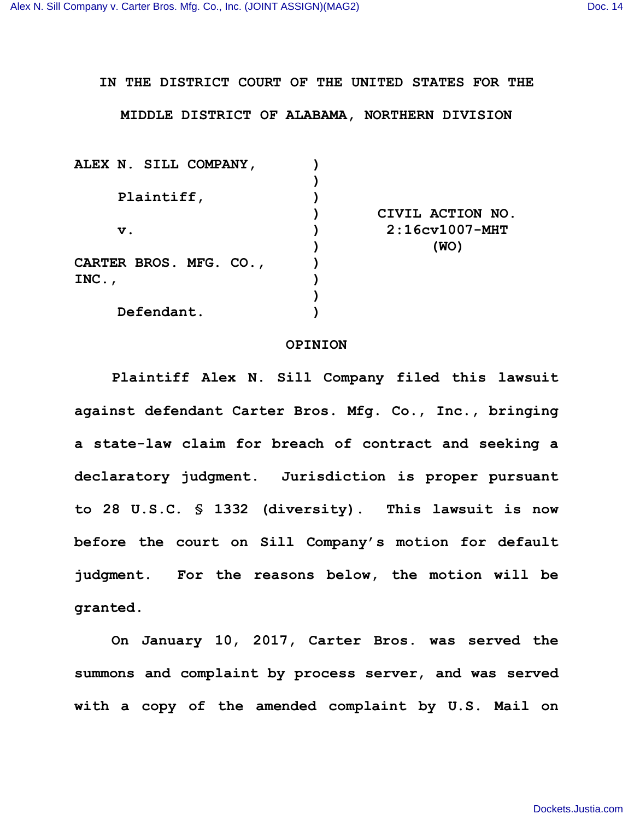## **IN THE DISTRICT COURT OF THE UNITED STATES FOR THE**

## **MIDDLE DISTRICT OF ALABAMA, NORTHERN DIVISION**

| <b>ALEX N. SILL COMPANY,</b> |                  |
|------------------------------|------------------|
|                              |                  |
| Plaintiff,                   |                  |
|                              | CIVIL ACTION NO. |
| $\mathbf v$ .                | $2:16cv1007-MHT$ |
|                              | (WO)             |
| CARTER BROS. MFG. CO.,       |                  |
| $INC.$ ,                     |                  |
|                              |                  |
| Defendant.                   |                  |

## **OPINION**

**Plaintiff Alex N. Sill Company filed this lawsuit against defendant Carter Bros. Mfg. Co., Inc., bringing a state-law claim for breach of contract and seeking a declaratory judgment. Jurisdiction is proper pursuant to 28 U.S.C. § 1332 (diversity). This lawsuit is now before the court on Sill Company's motion for default judgment. For the reasons below, the motion will be granted.**

**On January 10, 2017, Carter Bros. was served the summons and complaint by process server, and was served with a copy of the amended complaint by U.S. Mail on**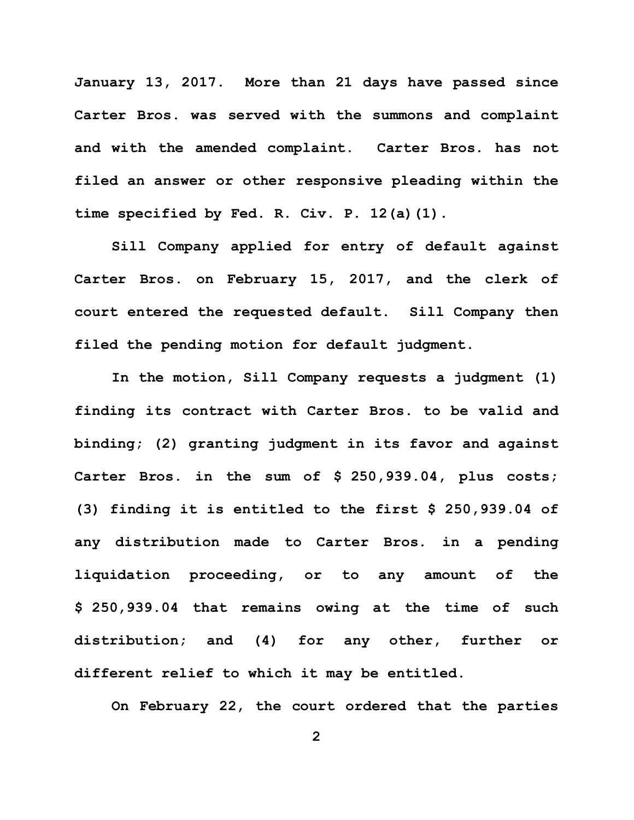**January 13, 2017. More than 21 days have passed since Carter Bros. was served with the summons and complaint and with the amended complaint. Carter Bros. has not filed an answer or other responsive pleading within the time specified by Fed. R. Civ. P. 12(a)(1).** 

**Sill Company applied for entry of default against Carter Bros. on February 15, 2017, and the clerk of court entered the requested default. Sill Company then filed the pending motion for default judgment.** 

**In the motion, Sill Company requests a judgment (1) finding its contract with Carter Bros. to be valid and binding; (2) granting judgment in its favor and against Carter Bros. in the sum of \$ 250,939.04, plus costs; (3) finding it is entitled to the first \$ 250,939.04 of any distribution made to Carter Bros. in a pending liquidation proceeding, or to any amount of the \$ 250,939.04 that remains owing at the time of such distribution; and (4) for any other, further or different relief to which it may be entitled.**

**On February 22, the court ordered that the parties**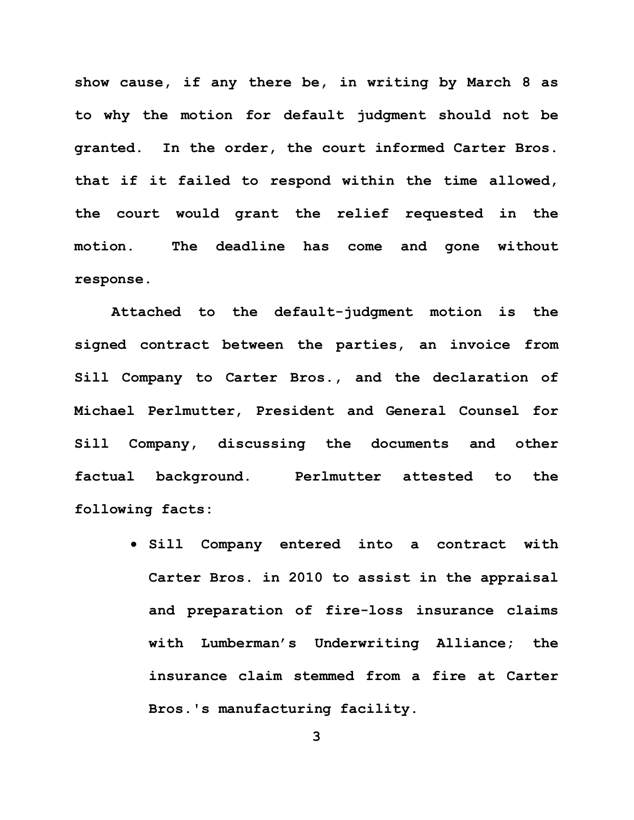**show cause, if any there be, in writing by March 8 as to why the motion for default judgment should not be granted. In the order, the court informed Carter Bros. that if it failed to respond within the time allowed, the court would grant the relief requested in the motion. The deadline has come and gone without response.** 

**Attached to the default-judgment motion is the signed contract between the parties, an invoice from Sill Company to Carter Bros., and the declaration of Michael Perlmutter, President and General Counsel for Sill Company, discussing the documents and other factual background. Perlmutter attested to the following facts:**

> • **Sill Company entered into a contract with Carter Bros. in 2010 to assist in the appraisal and preparation of fire-loss insurance claims with Lumberman's Underwriting Alliance; the insurance claim stemmed from a fire at Carter Bros.'s manufacturing facility.**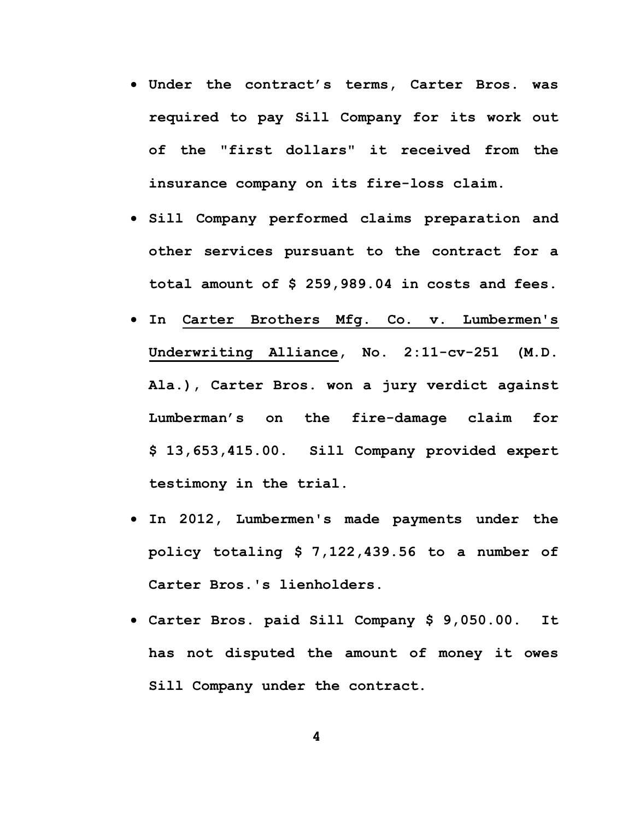- **Under the contract's terms, Carter Bros. was required to pay Sill Company for its work out of the "first dollars" it received from the insurance company on its fire-loss claim.**
- **Sill Company performed claims preparation and other services pursuant to the contract for a total amount of \$ 259,989.04 in costs and fees.**
- **In Carter Brothers Mfg. Co. v. Lumbermen's Underwriting Alliance, No. 2:11-cv-251 (M.D. Ala.), Carter Bros. won a jury verdict against Lumberman's on the fire-damage claim for \$ 13,653,415.00. Sill Company provided expert testimony in the trial.**
- **In 2012, Lumbermen's made payments under the policy totaling \$ 7,122,439.56 to a number of Carter Bros.'s lienholders.**
- **Carter Bros. paid Sill Company \$ 9,050.00. It has not disputed the amount of money it owes Sill Company under the contract.**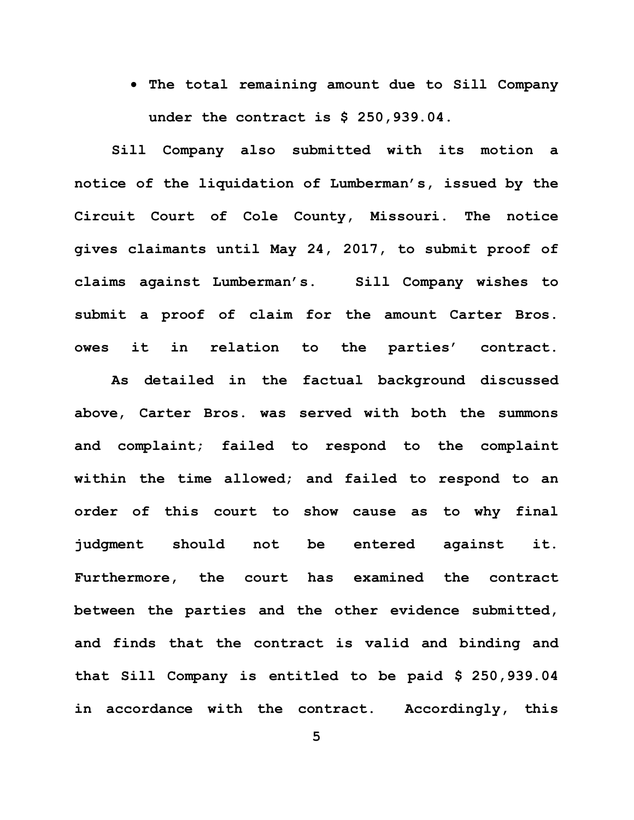• **The total remaining amount due to Sill Company under the contract is \$ 250,939.04.**

**Sill Company also submitted with its motion a notice of the liquidation of Lumberman's, issued by the Circuit Court of Cole County, Missouri. The notice gives claimants until May 24, 2017, to submit proof of claims against Lumberman's. Sill Company wishes to submit a proof of claim for the amount Carter Bros. owes it in relation to the parties' contract.** 

**As detailed in the factual background discussed above, Carter Bros. was served with both the summons and complaint; failed to respond to the complaint within the time allowed; and failed to respond to an order of this court to show cause as to why final judgment should not be entered against it. Furthermore, the court has examined the contract between the parties and the other evidence submitted, and finds that the contract is valid and binding and that Sill Company is entitled to be paid \$ 250,939.04 in accordance with the contract. Accordingly, this**